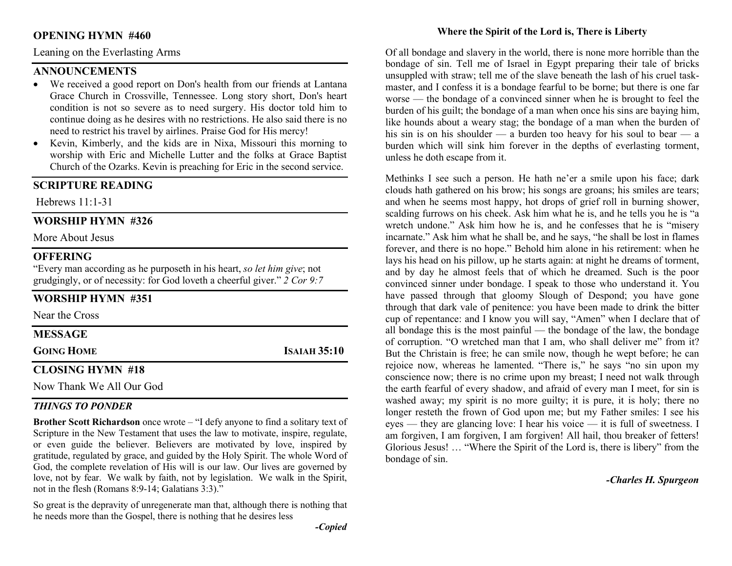## OPENING HYMN #460

Leaning on the Everlasting Arms

## ANNOUNCEMENTS

- We received a good report on Don's health from our friends at Lantana Grace Church in Crossville, Tennessee. Long story short, Don's heart condition is not so severe as to need surgery. His doctor told him to continue doing as he desires with no restrictions. He also said there is no need to restrict his travel by airlines. Praise God for His mercy!
- Kevin, Kimberly, and the kids are in Nixa, Missouri this morning to worship with Eric and Michelle Lutter and the folks at Grace Baptist Church of the Ozarks. Kevin is preaching for Eric in the second service.

## SCRIPTURE READING

Hebrews 11:1-31

## WORSHIP HYMN #326

More About Jesus

## **OFFERING**

"Every man according as he purposeth in his heart, so let him give; not grudgingly, or of necessity: for God loveth a cheerful giver."  $2$  Cor 9:7

## WORSHIP HYMN #351

Near the Cross

MESSAGE

GOING HOME ISAIAH 35:10

## CLOSING HYMN #18

Now Thank We All Our God

## THINGS TO PONDER

Brother Scott Richardson once wrote – "I defy anyone to find a solitary text of Scripture in the New Testament that uses the law to motivate, inspire, regulate, or even guide the believer. Believers are motivated by love, inspired by gratitude, regulated by grace, and guided by the Holy Spirit. The whole Word of God, the complete revelation of His will is our law. Our lives are governed by love, not by fear. We walk by faith, not by legislation. We walk in the Spirit, not in the flesh (Romans 8:9-14; Galatians 3:3)."

So great is the depravity of unregenerate man that, although there is nothing that he needs more than the Gospel, there is nothing that he desires less

Of all bondage and slavery in the world, there is none more horrible than the bondage of sin. Tell me of Israel in Egypt preparing their tale of bricks unsuppled with straw; tell me of the slave beneath the lash of his cruel taskmaster, and I confess it is a bondage fearful to be borne; but there is one far worse — the bondage of a convinced sinner when he is brought to feel the burden of his guilt; the bondage of a man when once his sins are baying him, like hounds about a weary stag; the bondage of a man when the burden of his sin is on his shoulder — a burden too heavy for his soul to bear — a burden which will sink him forever in the depths of everlasting torment, unless he doth escape from it.

Methinks I see such a person. He hath ne'er a smile upon his face; dark clouds hath gathered on his brow; his songs are groans; his smiles are tears; and when he seems most happy, hot drops of grief roll in burning shower, scalding furrows on his cheek. Ask him what he is, and he tells you he is "a wretch undone." Ask him how he is, and he confesses that he is "misery incarnate." Ask him what he shall be, and he says, "he shall be lost in flames forever, and there is no hope." Behold him alone in his retirement: when he lays his head on his pillow, up he starts again: at night he dreams of torment, and by day he almost feels that of which he dreamed. Such is the poor convinced sinner under bondage. I speak to those who understand it. You have passed through that gloomy Slough of Despond; you have gone through that dark vale of penitence: you have been made to drink the bitter cup of repentance: and I know you will say, "Amen" when I declare that of all bondage this is the most painful — the bondage of the law, the bondage of corruption. "O wretched man that I am, who shall deliver me" from it? But the Christain is free; he can smile now, though he wept before; he can rejoice now, whereas he lamented. "There is," he says "no sin upon my conscience now; there is no crime upon my breast; I need not walk through the earth fearful of every shadow, and afraid of every man I meet, for sin is washed away; my spirit is no more guilty; it is pure, it is holy; there no longer resteth the frown of God upon me; but my Father smiles: I see his eyes — they are glancing love: I hear his voice — it is full of sweetness. I am forgiven, I am forgiven, I am forgiven! All hail, thou breaker of fetters! Glorious Jesus! … "Where the Spirit of the Lord is, there is libery" from the bondage of sin.

-Charles H. Spurgeon